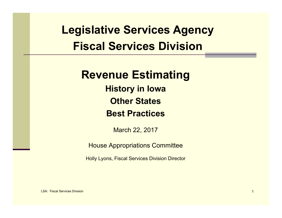# **Legislative Services Agency Fiscal Services Division**

#### **Revenue Estimating**

**History in Iowa Other StatesBest Practices**

March 22, 2017

House Appropriations Committee

Holly Lyons, Fiscal Services Division Director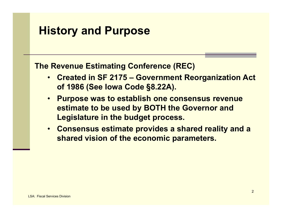#### **History and Purpose**

**The Revenue Estimating Conference (REC)**

- **Created in SF 2175 – Government Reorganization Act of 1986 (See Iowa Code §8.22A).**
- **Purpose was to establish one consensus revenue estimate to be used by BOTH the Governor and Legislature in the budget process.**
- **Consensus estimate provides a shared reality and a shared vision of the economic parameters.**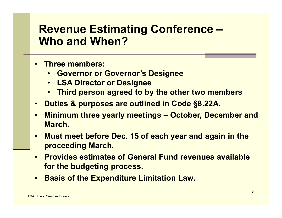#### **Revenue Estimating Conference – Who and When?**

- **Three members:**
	- **Governor or Governor's Designee**
	- **LSA Director or Designee**
	- •**Third person agreed to by the other two members**
- •**Duties & purposes are outlined in Code §8.22A.**
- $\bullet$  **Minimum three yearly meetings – October, December and March.**
- $\bullet$  **Must meet before Dec. 15 of each year and again in the proceeding March.**
- • **Provides estimates of General Fund revenues available for the budgeting process.**
- **Basis of the Expenditure Limitation Law.**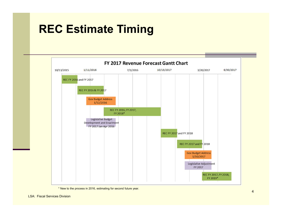# **REC Estimate Timing**



\* New to the process in 2016, estimating for second future year.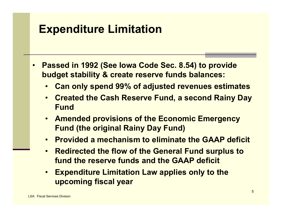## **Expenditure Limitation**

- • **Passed in 1992 (See Iowa Code Sec. 8.54) to provide budget stability & create reserve funds balances:**
	- •**Can only spend 99% of adjusted revenues estimates**
	- • **Created the Cash Reserve Fund, a second Rainy Day Fund**
	- **Amended provisions of the Economic Emergency Fund (the original Rainy Day Fund)**
	- **Provided a mechanism to eliminate the GAAP deficit**
	- • **Redirected the flow of the General Fund surplus to fund the reserve funds and the GAAP deficit**
	- • **Expenditure Limitation Law applies only to the upcoming fiscal year**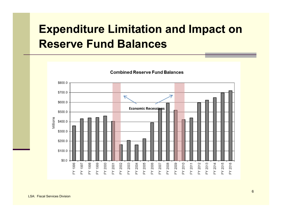# **Expenditure Limitation and Impact on Reserve Fund Balances**

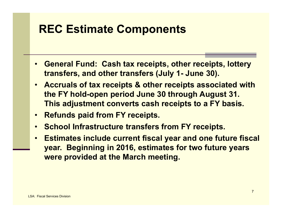# **REC Estimate Components**

- $\bullet$  **General Fund: Cash tax receipts, other receipts, lottery transfers, and other transfers (July 1- June 30).**
- $\bullet$  **Accruals of tax receipts & other receipts associated with the FY hold-open period June 30 through August 31. This adjustment converts cash receipts to a FY basis.**
- $\bullet$ **Refunds paid from FY receipts.**
- $\bullet$ **School Infrastructure transfers from FY receipts.**
- • **Estimates include current fiscal year and one future fiscal year. Beginning in 2016, estimates for two future years were provided at the March meeting.**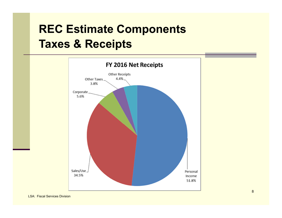# **REC Estimate Components Taxes & Receipts**

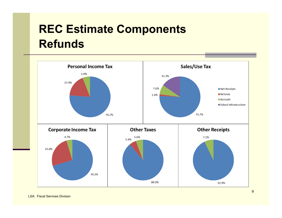# **REC Estimate Components Refunds**

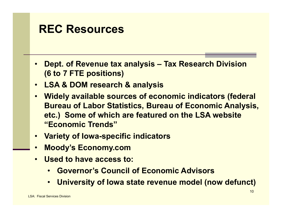#### **REC Resources**

- • **Dept. of Revenue tax analysis – Tax Research Division (6 to 7 FTE positions)**
- $\bullet$ **LSA & DOM research & analysis**
- • **Widely available sources of economic indicators (federal Bureau of Labor Statistics, Bureau of Economic Analysis, etc.) Some of which are featured on the LSA website "Economic Trends"**
- **Variety of Iowa-specific indicators**
- $\bullet$ **Moody's Economy.com**
- **Used to have access to:**
	- •**Governor's Council of Economic Advisors**
	- •**University of Iowa state revenue model (now defunct)**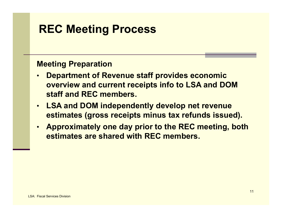# **REC Meeting Process**

#### **Meeting Preparation**

- • **Department of Revenue staff provides economic overview and current receipts info to LSA and DOM staff and REC members.**
- • **LSA and DOM independently develop net revenue estimates (gross receipts minus tax refunds issued).**
- • **Approximately one day prior to the REC meeting, both estimates are shared with REC members.**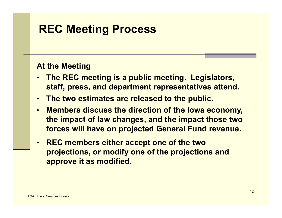## **REC Meeting Process**

#### **At the Meeting**

- • **The REC meeting is a public meeting. Legislators, staff, press, and department representatives attend.**
- •**The two estimates are released to the public.**
- • **Members discuss the direction of the Iowa economy, the impact of law changes, and the impact those two forces will have on projected General Fund revenue.**
- • **REC members either accept one of the two projections, or modify one of the projections and approve it as modified.**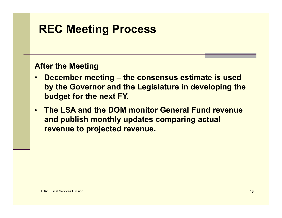# **REC Meeting Process**

#### **After the Meeting**

- • **December meeting – the consensus estimate is used by the Governor and the Legislature in developing the budget for the next FY.**
- • **The LSA and the DOM monitor General Fund revenue and publish monthly updates comparing actual revenue to projected revenue.**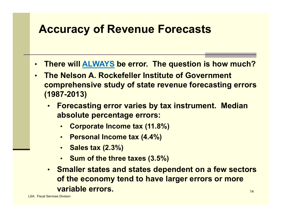### **Accuracy of Revenue Forecasts**

- •**There will ALWAYS be error. The question is how much?**
- • **The Nelson A. Rockefeller Institute of Government comprehensive study of state revenue forecasting errors (1987-2013)**
	- • **Forecasting error varies by tax instrument. Median absolute percentage errors:**
		- •**Corporate Income tax (11.8%)**
		- •**Personal Income tax (4.4%)**
		- •**Sales tax (2.3%)**
		- **Sum of the three taxes (3.5%)**
	- 14• **Smaller states and states dependent on a few sectors of the economy tend to have larger errors or more variable errors.**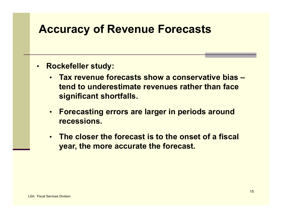#### **Accuracy of Revenue Forecasts**

- • **Rockefeller study:**
	- **Tax revenue forecasts show a conservative bias –tend to underestimate revenues rather than face significant shortfalls.**
	- **Forecasting errors are larger in periods around recessions.**
	- **The closer the forecast is to the onset of a fiscal year, the more accurate the forecast.**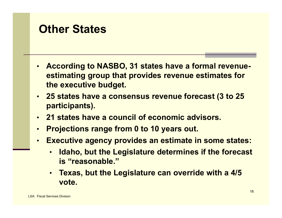#### **Other States**

- • **According to NASBO, 31 states have a formal revenueestimating group that provides revenue estimates for the executive budget.**
- • **25 states have a consensus revenue forecast (3 to 25 participants).**
- **21 states have a council of economic advisors.**
- •**Projections range from 0 to 10 years out.**
- • **Executive agency provides an estimate in some states:**
	- • **Idaho, but the Legislature determines if the forecast is "reasonable."**
	- **Texas, but the Legislature can override with a 4/5 vote.**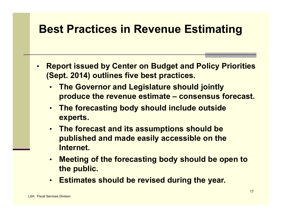## **Best Practices in Revenue Estimating**

- • **Report issued by Center on Budget and Policy Priorities (Sept. 2014) outlines five best practices.**
	- **The Governor and Legislature should jointly produce the revenue estimate – consensus forecast.**
	- **The forecasting body should include outside experts.**
	- **The forecast and its assumptions should be published and made easily accessible on the Internet.**
	- **Meeting of the forecasting body should be open to the public.**
	- **Estimates should be revised during the year.**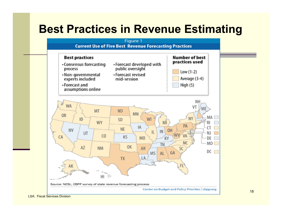#### **Best Practices in Revenue Estimating**

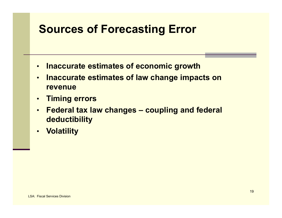## **Sources of Forecasting Error**

- •**Inaccurate estimates of economic growth**
- $\bullet$  **Inaccurate estimates of law change impacts on revenue**
- $\bullet$ **Timing errors**
- $\bullet$  **Federal tax law changes – coupling and federal deductibility**
- •**Volatility**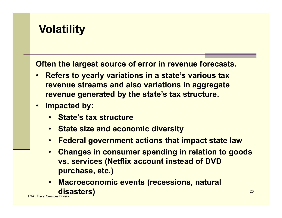### **Volatility**

**Often the largest source of error in revenue forecasts.**

- • **Refers to yearly variations in a state's various tax revenue streams and also variations in aggregate revenue generated by the state's tax structure.**
- • **Impacted by:**
	- **State's tax structure**
	- **State size and economic diversity**
	- **Federal government actions that impact state law**
	- • **Changes in consumer spending in relation to goods vs. services (Netflix account instead of DVD purchase, etc.)**
- LSA: Fiscal Services Division $\bullet$  **Macroeconomic events (recessions, natural disasters)**